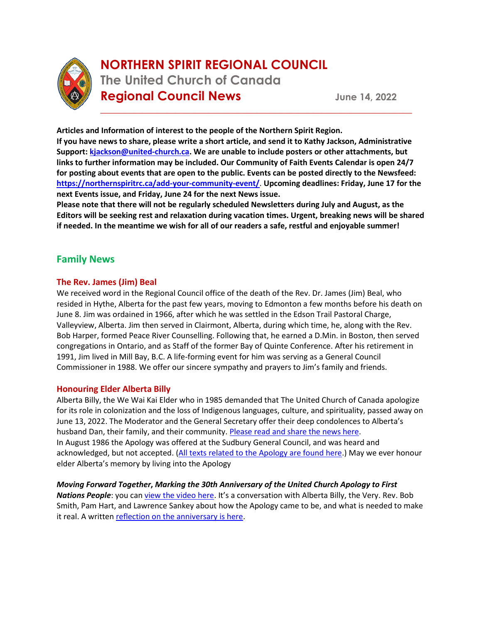

# **NORTHERN SPIRIT REGIONAL COUNCIL The United Church of Canada Regional Council News June 14, 2022**

**Articles and Information of interest to the people of the Northern Spirit Region. If you have news to share, please write a short article, and send it to Kathy Jackson, Administrative Support: [kjackson@united-church.ca.](mailto:kjackson@united-church.ca) We are unable to include posters or other attachments, but links to further information may be included. Our Community of Faith Events Calendar is open 24/7 for posting about events that are open to the public. Events can be posted directly to the Newsfeed: <https://northernspiritrc.ca/add-your-community-event/>**. **Upcoming deadlines: Friday, June 17 for the next Events issue, and Friday, June 24 for the next News issue.**

\_\_\_\_\_\_\_\_\_\_\_\_\_\_\_\_\_\_\_\_\_\_\_\_\_\_\_\_\_\_\_\_\_\_\_\_\_\_\_\_\_\_\_\_\_\_\_\_\_\_\_\_\_\_\_\_\_\_\_\_\_\_\_\_\_\_

**Please note that there will not be regularly scheduled Newsletters during July and August, as the Editors will be seeking rest and relaxation during vacation times. Urgent, breaking news will be shared if needed. In the meantime we wish for all of our readers a safe, restful and enjoyable summer!**

# **Family News**

## **The Rev. James (Jim) Beal**

We received word in the Regional Council office of the death of the Rev. Dr. James (Jim) Beal, who resided in Hythe, Alberta for the past few years, moving to Edmonton a few months before his death on June 8. Jim was ordained in 1966, after which he was settled in the Edson Trail Pastoral Charge, Valleyview, Alberta. Jim then served in Clairmont, Alberta, during which time, he, along with the Rev. Bob Harper, formed Peace River Counselling. Following that, he earned a D.Min. in Boston, then served congregations in Ontario, and as Staff of the former Bay of Quinte Conference. After his retirement in 1991, Jim lived in Mill Bay, B.C. A life-forming event for him was serving as a General Council Commissioner in 1988. We offer our sincere sympathy and prayers to Jim's family and friends.

## **Honouring Elder Alberta Billy**

Alberta Billy, the We Wai Kai Elder who in 1985 demanded that The United Church of Canada apologize for its role in colonization and the loss of Indigenous languages, culture, and spirituality, passed away on June 13, 2022. The Moderator and the General Secretary offer their deep condolences to Alberta's husband Dan, their family, and their community[. Please read and share the news here.](https://united-church.ca/news/mourning-and-honouring-alberta-billy) In August 1986 the Apology was offered at the Sudbury General Council, and was heard and acknowledged, but not accepted. [\(All texts related to the Apology are found here.](https://united-church.ca/sites/default/files/apologies-response-crest.pdf)) May we ever honour elder Alberta's memory by living into the Apology

*Moving Forward Together***,** *Marking the 30th Anniversary of the United Church Apology to First*  **Nations People**: you ca[n view the video here](https://youtu.be/brQjxEg-p1A). It's a conversation with Alberta Billy, the Very. Rev. Bob Smith, Pam Hart, and Lawrence Sankey about how the Apology came to be, and what is needed to make it real. A written [reflection on the anniversary is here.](https://united-church.ca/blogs/round-table/marking-journey-apology-towards-reconciliation)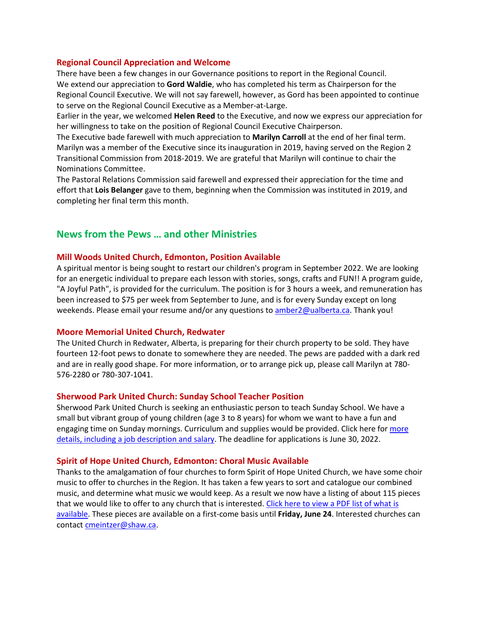#### **Regional Council Appreciation and Welcome**

There have been a few changes in our Governance positions to report in the Regional Council. We extend our appreciation to **Gord Waldie**, who has completed his term as Chairperson for the Regional Council Executive. We will not say farewell, however, as Gord has been appointed to continue to serve on the Regional Council Executive as a Member-at-Large.

Earlier in the year, we welcomed **Helen Reed** to the Executive, and now we express our appreciation for her willingness to take on the position of Regional Council Executive Chairperson.

The Executive bade farewell with much appreciation to **Marilyn Carroll** at the end of her final term. Marilyn was a member of the Executive since its inauguration in 2019, having served on the Region 2 Transitional Commission from 2018-2019. We are grateful that Marilyn will continue to chair the Nominations Committee.

The Pastoral Relations Commission said farewell and expressed their appreciation for the time and effort that **Lois Belanger** gave to them, beginning when the Commission was instituted in 2019, and completing her final term this month.

# **News from the Pews … and other Ministries**

#### **Mill Woods United Church, Edmonton, Position Available**

A spiritual mentor is being sought to restart our children's program in September 2022. We are looking for an energetic individual to prepare each lesson with stories, songs, crafts and FUN!! A program guide, "A Joyful Path", is provided for the curriculum. The position is for 3 hours a week, and remuneration has been increased to \$75 per week from September to June, and is for every Sunday except on long weekends. Please email your resume and/or any questions to amber 2@ualberta.ca. Thank you!

#### **Moore Memorial United Church, Redwater**

The United Church in Redwater, Alberta, is preparing for their church property to be sold. They have fourteen 12-foot pews to donate to somewhere they are needed. The pews are padded with a dark red and are in really good shape. For more information, or to arrange pick up, please call Marilyn at 780- 576-2280 or 780-307-1041.

#### **Sherwood Park United Church: Sunday School Teacher Position**

Sherwood Park United Church is seeking an enthusiastic person to teach Sunday School. We have a small but vibrant group of young children (age 3 to 8 years) for whom we want to have a fun and engaging time on Sunday mornings. Curriculum and supplies would be provided. Click here for [more](https://online.fliphtml5.com/gbljg/loqu/)  [details, including a job description and salary.](https://online.fliphtml5.com/gbljg/loqu/) The deadline for applications is June 30, 2022.

#### **Spirit of Hope United Church, Edmonton: Choral Music Available**

Thanks to the amalgamation of four churches to form Spirit of Hope United Church, we have some choir music to offer to churches in the Region. It has taken a few years to sort and catalogue our combined music, and determine what music we would keep. As a result we now have a listing of about 115 pieces that we would like to offer to any church that is interested. Click here to view a PDF list of what is [available.](https://northernspiritrc.ca/wp-content/uploads/2022/05/Music-to-offer-the-Region.pdf) These pieces are available on a first-come basis until **Friday, June 24**. Interested churches can contact [cmeintzer@shaw.ca.](mailto:cmeintzer@shaw.ca)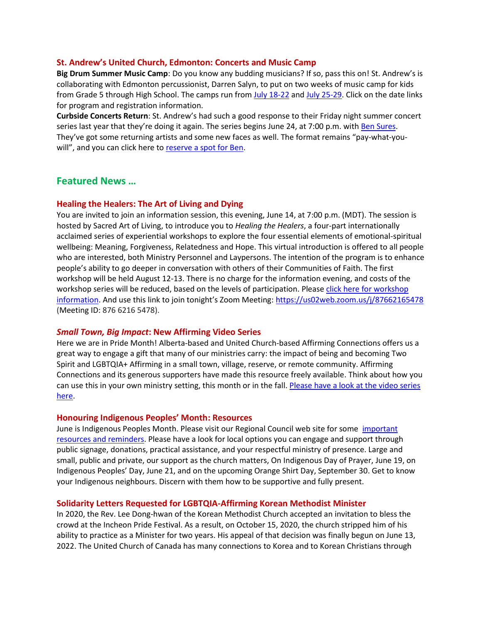#### **St. Andrew's United Church, Edmonton: Concerts and Music Camp**

**Big Drum Summer Music Camp**: Do you know any budding musicians? If so, pass this on! St. Andrew's is collaborating with Edmonton percussionist, Darren Salyn, to put on two weeks of music camp for kids from Grade 5 through High School. The camps run fro[m July 18-22](https://www.eventbrite.ca/e/big-drum-summer-camp-tickets-348382339957) and [July 25-29.](https://www.eventbrite.ca/e/big-drum-summer-music-camp-tickets-349890350457) Click on the date links for program and registration information.

**Curbside Concerts Return**: St. Andrew's had such a good response to their Friday night summer concert series last year that they're doing it again. The series begins June 24, at 7:00 p.m. wit[h Ben Sures.](https://www.bensures.com/) They've got some returning artists and some new faces as well. The format remains "pay-what-youwill", and you can click here to [reserve a spot for Ben.](https://www.eventbrite.ca/e/ben-sures-in-concert-tickets-349915184737)

## **Featured News …**

#### **Healing the Healers: The Art of Living and Dying**

You are invited to join an information session, this evening, June 14, at 7:00 p.m. (MDT). The session is hosted by Sacred Art of Living, to introduce you to *Healing the Healers*, a four-part internationally acclaimed series of experiential workshops to explore the four essential elements of emotional-spiritual wellbeing: Meaning, Forgiveness, Relatedness and Hope. This virtual introduction is offered to all people who are interested, both Ministry Personnel and Laypersons. The intention of the program is to enhance people's ability to go deeper in conversation with others of their Communities of Faith. The first workshop will be held August 12-13. There is no charge for the information evening, and costs of the workshop series will be reduced, based on the levels of participation. Please click here for workshop [information.](https://northernspiritrc.ca/wp-content/uploads/2022/05/ALD-Intro.pdf) And use this link to join tonight's Zoom Meeting: [https://us02web.zoom.us/j/87662165478](https://can01.safelinks.protection.outlook.com/?url=https%3A%2F%2Fwww.google.com%2Furl%3Fq%3Dhttps%253A%252F%252Fus02web.zoom.us%252Fj%252F87662165478%26sa%3DD%26ust%3D1654982481197000%26usg%3DAOvVaw1d_LZsGOQ0G-eljQpLlaYX&data=05%7C01%7Ckjackson%40united-church.ca%7Cec9a6f84401d4b5ec92108da48c70b4e%7Ccf18b5a826784011931215f0f7157574%7C0%7C0%7C637902317002210050%7CUnknown%7CTWFpbGZsb3d8eyJWIjoiMC4wLjAwMDAiLCJQIjoiV2luMzIiLCJBTiI6Ik1haWwiLCJXVCI6Mn0%3D%7C3000%7C%7C%7C&sdata=8xAyigqrjCVLb188HfqfAhvlLSX%2F8NtezuO0T1UM3d4%3D&reserved=0) (Meeting ID: 876 6216 5478).

#### *Small Town, Big Impact***: New Affirming Video Series**

Here we are in Pride Month! Alberta-based and United Church-based Affirming Connections offers us a great way to engage a gift that many of our ministries carry: the impact of being and becoming Two Spirit and LGBTQIA+ Affirming in a small town, village, reserve, or remote community. Affirming Connections and its generous supporters have made this resource freely available. Think about how you can use this in your own ministry setting, this month or in the fall. Please have a look at the video series [here.](https://youtube.com/playlist?list=PLcdG1eb0esknQ_rA49b1ZHvRW0NiPw_gJ)

#### **Honouring Indigenous Peoples' Month: Resources**

June is Indigenous Peoples Month. Please visit our Regional Council web site for some [important](https://northernspiritrc.ca/indigenous-peoples-month-resources-and-events/)  [resources and reminders.](https://northernspiritrc.ca/indigenous-peoples-month-resources-and-events/) Please have a look for local options you can engage and support through public signage, donations, practical assistance, and your respectful ministry of presence. Large and small, public and private, our support as the church matters, On Indigenous Day of Prayer, June 19, on Indigenous Peoples' Day, June 21, and on the upcoming Orange Shirt Day, September 30. Get to know your Indigenous neighbours. Discern with them how to be supportive and fully present.

#### **Solidarity Letters Requested for LGBTQIA-Affirming Korean Methodist Minister**

In 2020, the Rev. Lee Dong-hwan of the Korean Methodist Church accepted an invitation to bless the crowd at the Incheon Pride Festival. As a result, on October 15, 2020, the church stripped him of his ability to practice as a Minister for two years. His appeal of that decision was finally begun on June 13, 2022. The United Church of Canada has many connections to Korea and to Korean Christians through